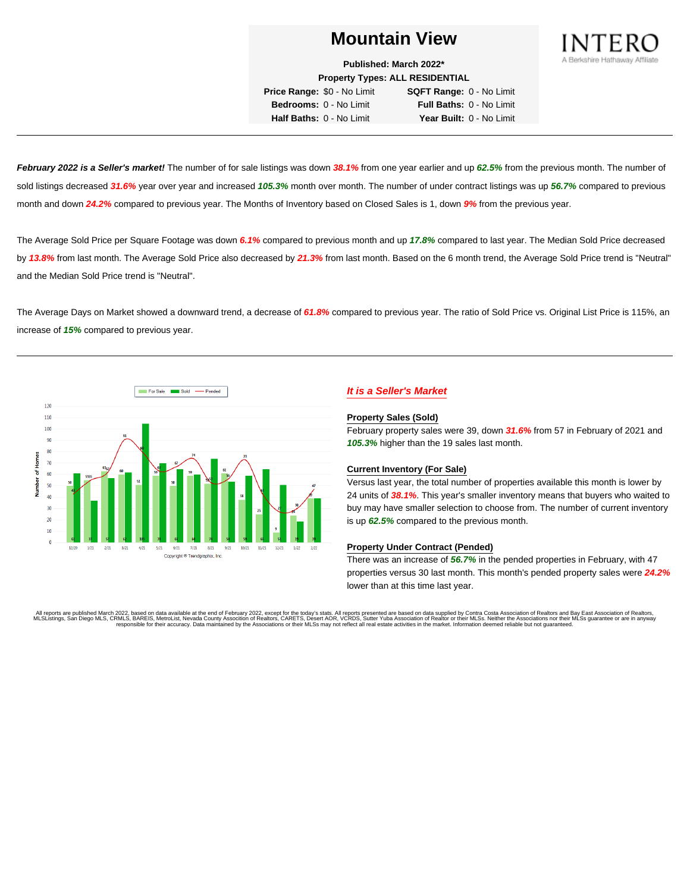

**Published: March 2022\* Property Types: ALL RESIDENTIAL**

**Price Range:** \$0 - No Limit **SQFT Range:** 0 - No Limit **Bedrooms:** 0 - No Limit **Full Baths:** 0 - No Limit **Half Baths:** 0 - No Limit **Year Built:** 0 - No Limit

**February 2022 is a Seller's market!** The number of for sale listings was down **38.1%** from one year earlier and up **62.5%** from the previous month. The number of sold listings decreased **31.6%** year over year and increased **105.3%** month over month. The number of under contract listings was up **56.7%** compared to previous month and down **24.2%** compared to previous year. The Months of Inventory based on Closed Sales is 1, down **9%** from the previous year.

The Average Sold Price per Square Footage was down **6.1%** compared to previous month and up **17.8%** compared to last year. The Median Sold Price decreased by **13.8%** from last month. The Average Sold Price also decreased by **21.3%** from last month. Based on the 6 month trend, the Average Sold Price trend is "Neutral" and the Median Sold Price trend is "Neutral".

The Average Days on Market showed a downward trend, a decrease of **61.8%** compared to previous year. The ratio of Sold Price vs. Original List Price is 115%, an increase of **15%** compared to previous year.



# **It is a Seller's Market**

#### **Property Sales (Sold)**

February property sales were 39, down **31.6%** from 57 in February of 2021 and **105.3%** higher than the 19 sales last month.

## **Current Inventory (For Sale)**

Versus last year, the total number of properties available this month is lower by 24 units of **38.1%**. This year's smaller inventory means that buyers who waited to buy may have smaller selection to choose from. The number of current inventory is up **62.5%** compared to the previous month.

#### **Property Under Contract (Pended)**

There was an increase of **56.7%** in the pended properties in February, with 47 properties versus 30 last month. This month's pended property sales were **24.2%** lower than at this time last year.

All reports are published March 2022, based on data available at the end of February 2022, except for the today's stats. All reports presented are based on data supplied by Contra Costa Association of Realtors and Bay East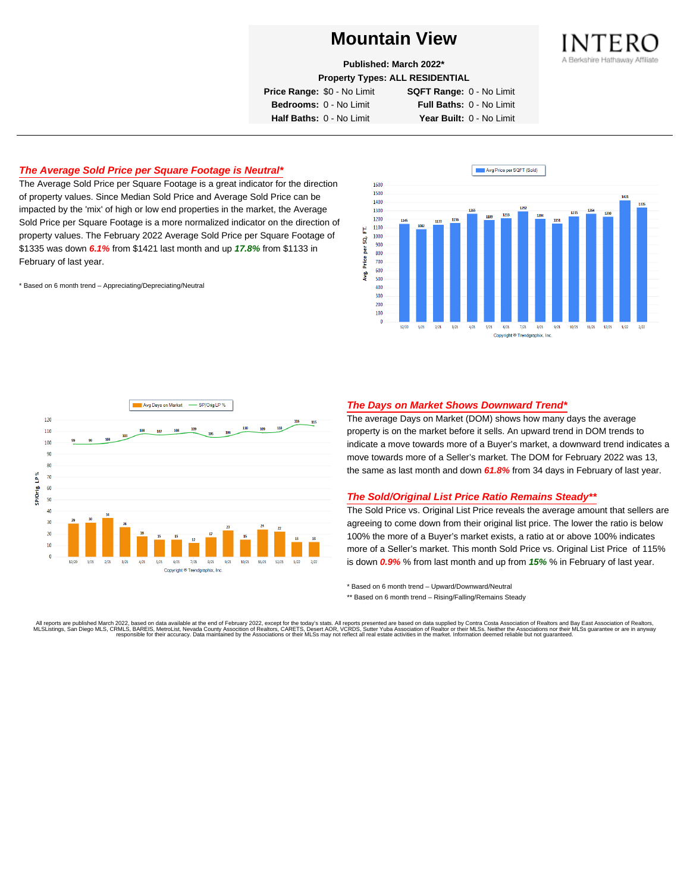

**Published: March 2022\***

**Property Types: ALL RESIDENTIAL**

**Price Range:** \$0 - No Limit **SQFT Range:** 0 - No Limit

**Bedrooms:** 0 - No Limit **Full Baths:** 0 - No Limit **Half Baths:** 0 - No Limit **Year Built:** 0 - No Limit

# **The Average Sold Price per Square Footage is Neutral\***

The Average Sold Price per Square Footage is a great indicator for the direction of property values. Since Median Sold Price and Average Sold Price can be impacted by the 'mix' of high or low end properties in the market, the Average Sold Price per Square Footage is a more normalized indicator on the direction of property values. The February 2022 Average Sold Price per Square Footage of \$1335 was down **6.1%** from \$1421 last month and up **17.8%** from \$1133 in February of last year.

\* Based on 6 month trend – Appreciating/Depreciating/Neutral





## **The Days on Market Shows Downward Trend\***

The average Days on Market (DOM) shows how many days the average property is on the market before it sells. An upward trend in DOM trends to indicate a move towards more of a Buyer's market, a downward trend indicates a move towards more of a Seller's market. The DOM for February 2022 was 13, the same as last month and down **61.8%** from 34 days in February of last year.

#### **The Sold/Original List Price Ratio Remains Steady\*\***

The Sold Price vs. Original List Price reveals the average amount that sellers are agreeing to come down from their original list price. The lower the ratio is below 100% the more of a Buyer's market exists, a ratio at or above 100% indicates more of a Seller's market. This month Sold Price vs. Original List Price of 115% is down **0.9%** % from last month and up from **15%** % in February of last year.

\* Based on 6 month trend – Upward/Downward/Neutral

\*\* Based on 6 month trend - Rising/Falling/Remains Steady

. All reports are published March 2022, based on data available at the end of February 2022, except for the today's stats. All reports presented are based on data supplied by Contra Costa Association of Realtors, San Bread responsible for their accuracy. Data maintained by the Associations or their MLSs may not reflect all real estate activities in the market. Information deemed reliable but not quaranteed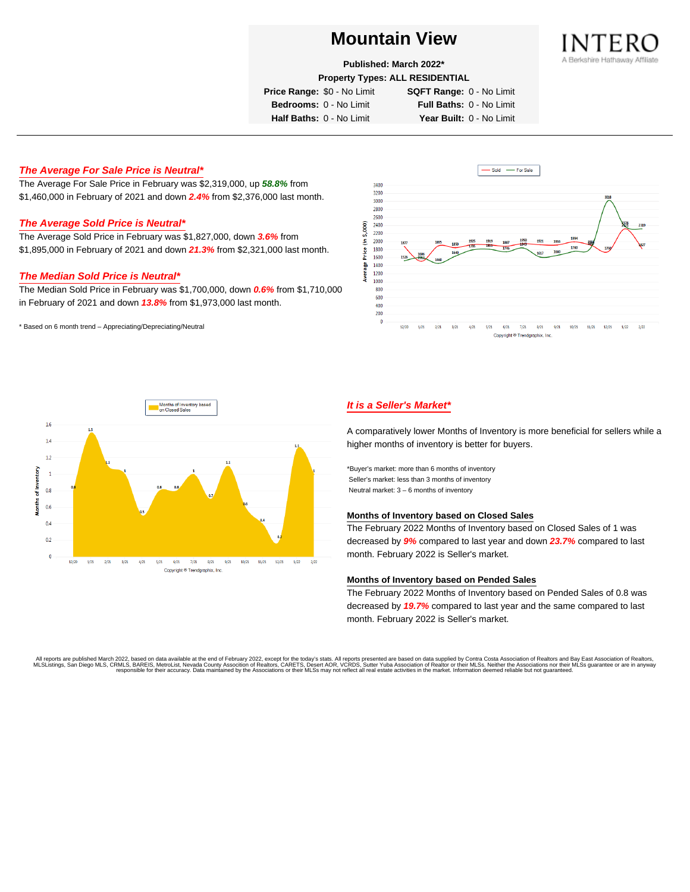

**Published: March 2022\***

**Property Types: ALL RESIDENTIAL**

**Price Range:** \$0 - No Limit **SQFT Range:** 0 - No Limit

**Bedrooms:** 0 - No Limit **Full Baths:** 0 - No Limit **Half Baths:** 0 - No Limit **Year Built:** 0 - No Limit

# **The Average For Sale Price is Neutral\***

The Average For Sale Price in February was \$2,319,000, up **58.8%** from \$1,460,000 in February of 2021 and down **2.4%** from \$2,376,000 last month.

# **The Average Sold Price is Neutral\***

The Average Sold Price in February was \$1,827,000, down **3.6%** from \$1,895,000 in February of 2021 and down **21.3%** from \$2,321,000 last month.

## **The Median Sold Price is Neutral\***

The Median Sold Price in February was \$1,700,000, down **0.6%** from \$1,710,000 in February of 2021 and down **13.8%** from \$1,973,000 last month.

\* Based on 6 month trend – Appreciating/Depreciating/Neutral





# **It is a Seller's Market\***

A comparatively lower Months of Inventory is more beneficial for sellers while a higher months of inventory is better for buyers.

\*Buyer's market: more than 6 months of inventory Seller's market: less than 3 months of inventory Neutral market: 3 – 6 months of inventory

#### **Months of Inventory based on Closed Sales**

The February 2022 Months of Inventory based on Closed Sales of 1 was decreased by **9%** compared to last year and down **23.7%** compared to last month. February 2022 is Seller's market.

## **Months of Inventory based on Pended Sales**

The February 2022 Months of Inventory based on Pended Sales of 0.8 was decreased by **19.7%** compared to last year and the same compared to last month. February 2022 is Seller's market.

. All reports are published March 2022, based on data available at the end of February 2022, except for the today's stats. All reports presented are based on data supplied by Contra Costa Association of Realtors, San Bread responsible for their accuracy. Data maintained by the Associations or their MLSs may not reflect all real estate activities in the market. Information deemed reliable but not guaranteed.